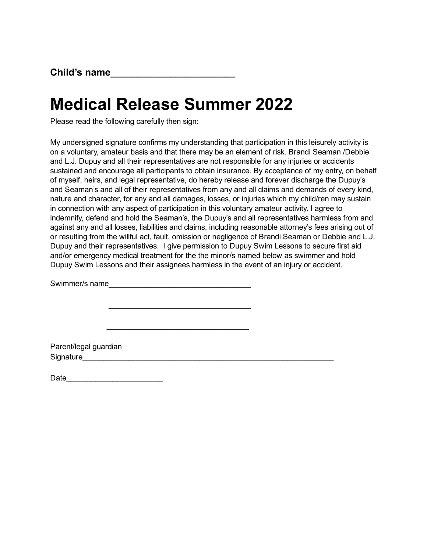## Medical Release Summer 2022

 $\mathcal{L}_\text{max}$  , where  $\mathcal{L}_\text{max}$  is the set of the set of the set of the set of the set of the set of the set of the set of the set of the set of the set of the set of the set of the set of the set of the set of the se

 $\mathcal{L}_\text{max}$  , where  $\mathcal{L}_\text{max}$  is the set of the set of the set of the set of the set of the set of the set of the set of the set of the set of the set of the set of the set of the set of the set of the set of the se

Please read the following carefully then sign:

My undersigned signature confirms my understanding that participation in this leisurely activity is on a voluntary, amateur basis and that there may be an element of risk. Brandi Seaman /Debbie and L.J. Dupuy and all their representatives are not responsible for any injuries or accidents sustained and encourage all participants to obtain insurance. By acceptance of my entry, on behalf of myself, heirs, and legal representative, do hereby release and forever discharge the Dupuy's and Seaman's and all of their representatives from any and all claims and demands of every kind, nature and character, for any and all damages, losses, or injuries which my child/ren may sustain in connection with any aspect of participation in this voluntary amateur activity. I agree to indemnify, defend and hold the Seaman's, the Dupuy's and all representatives harmless from and against any and all losses, liabilities and claims, including reasonable attorney's fees arising out of or resulting from the willful act, fault, omission or negligence of Brandi Seaman or Debbie and L.J. Dupuy and their representatives. I give permission to Dupuy Swim Lessons to secure first aid and/or emergency medical treatment for the the minor/s named below as swimmer and hold Dupuy Swim Lessons and their assignees harmless in the event of an injury or accident.

Swimmer/s name

Parent/legal guardian Signature

Date\_\_\_\_\_\_\_\_\_\_\_\_\_\_\_\_\_\_\_\_\_\_\_